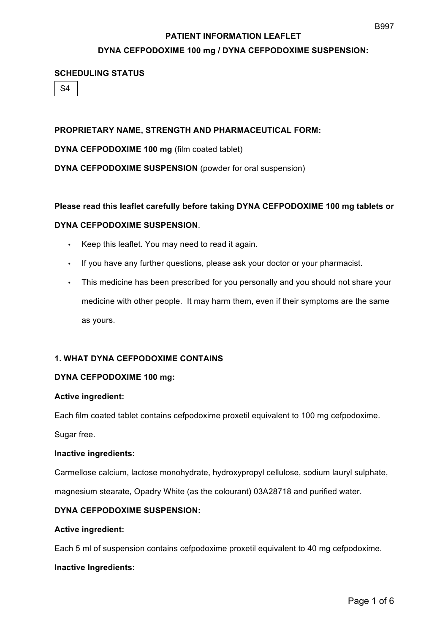# **DYNA CEFPODOXIME 100 mg / DYNA CEFPODOXIME SUSPENSION:**

#### **SCHEDULING STATUS**

 $S<sub>4</sub>$ 

# **PROPRIETARY NAME, STRENGTH AND PHARMACEUTICAL FORM:**

**DYNA CEFPODOXIME 100 mg** (film coated tablet)

**DYNA CEFPODOXIME SUSPENSION** (powder for oral suspension)

#### **Please read this leaflet carefully before taking DYNA CEFPODOXIME 100 mg tablets or**

# **DYNA CEFPODOXIME SUSPENSION**.

- Keep this leaflet. You may need to read it again.
- If you have any further questions, please ask your doctor or your pharmacist.
- This medicine has been prescribed for you personally and you should not share your medicine with other people. It may harm them, even if their symptoms are the same as yours.

# **1. WHAT DYNA CEFPODOXIME CONTAINS**

#### **DYNA CEFPODOXIME 100 mg:**

#### **Active ingredient:**

Each film coated tablet contains cefpodoxime proxetil equivalent to 100 mg cefpodoxime.

Sugar free.

#### **Inactive ingredients:**

Carmellose calcium, lactose monohydrate, hydroxypropyl cellulose, sodium lauryl sulphate,

magnesium stearate, Opadry White (as the colourant) 03A28718 and purified water.

# **DYNA CEFPODOXIME SUSPENSION:**

#### **Active ingredient:**

Each 5 ml of suspension contains cefpodoxime proxetil equivalent to 40 mg cefpodoxime.

#### **Inactive Ingredients:**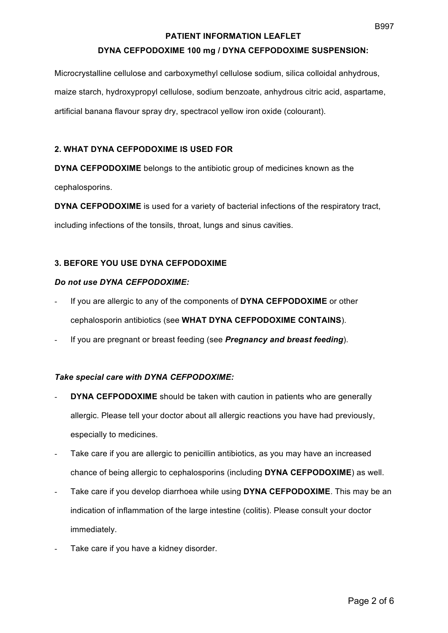# **DYNA CEFPODOXIME 100 mg / DYNA CEFPODOXIME SUSPENSION:**

Microcrystalline cellulose and carboxymethyl cellulose sodium, silica colloidal anhydrous, maize starch, hydroxypropyl cellulose, sodium benzoate, anhydrous citric acid, aspartame, artificial banana flavour spray dry, spectracol yellow iron oxide (colourant).

# **2. WHAT DYNA CEFPODOXIME IS USED FOR**

**DYNA CEFPODOXIME** belongs to the antibiotic group of medicines known as the cephalosporins.

**DYNA CEFPODOXIME** is used for a variety of bacterial infections of the respiratory tract, including infections of the tonsils, throat, lungs and sinus cavities.

# **3. BEFORE YOU USE DYNA CEFPODOXIME**

#### *Do not use DYNA CEFPODOXIME:*

- If you are allergic to any of the components of **DYNA CEFPODOXIME** or other cephalosporin antibiotics (see **WHAT DYNA CEFPODOXIME CONTAINS**).
- If you are pregnant or breast feeding (see *Pregnancy and breast feeding*).

# *Take special care with DYNA CEFPODOXIME:*

- **DYNA CEFPODOXIME** should be taken with caution in patients who are generally allergic. Please tell your doctor about all allergic reactions you have had previously, especially to medicines.
- Take care if you are allergic to penicillin antibiotics, as you may have an increased chance of being allergic to cephalosporins (including **DYNA CEFPODOXIME**) as well.
- Take care if you develop diarrhoea while using **DYNA CEFPODOXIME**. This may be an indication of inflammation of the large intestine (colitis). Please consult your doctor immediately.
- Take care if you have a kidney disorder.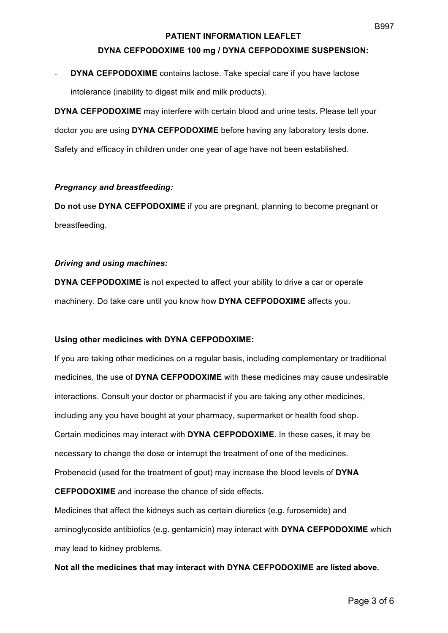#### **DYNA CEFPODOXIME 100 mg / DYNA CEFPODOXIME SUSPENSION:**

# **DYNA CEFPODOXIME** contains lactose. Take special care if you have lactose intolerance (inability to digest milk and milk products).

**DYNA CEFPODOXIME** may interfere with certain blood and urine tests. Please tell your doctor you are using **DYNA CEFPODOXIME** before having any laboratory tests done. Safety and efficacy in children under one year of age have not been established.

#### *Pregnancy and breastfeeding:*

**Do not** use **DYNA CEFPODOXIME** if you are pregnant, planning to become pregnant or breastfeeding.

#### *Driving and using machines:*

**DYNA CEFPODOXIME** is not expected to affect your ability to drive a car or operate machinery. Do take care until you know how **DYNA CEFPODOXIME** affects you.

#### **Using other medicines with DYNA CEFPODOXIME:**

If you are taking other medicines on a regular basis, including complementary or traditional medicines, the use of **DYNA CEFPODOXIME** with these medicines may cause undesirable interactions. Consult your doctor or pharmacist if you are taking any other medicines, including any you have bought at your pharmacy, supermarket or health food shop. Certain medicines may interact with **DYNA CEFPODOXIME**. In these cases, it may be necessary to change the dose or interrupt the treatment of one of the medicines. Probenecid (used for the treatment of gout) may increase the blood levels of **DYNA CEFPODOXIME** and increase the chance of side effects.

Medicines that affect the kidneys such as certain diuretics (e.g. furosemide) and aminoglycoside antibiotics (e.g. gentamicin) may interact with **DYNA CEFPODOXIME** which may lead to kidney problems.

#### **Not all the medicines that may interact with DYNA CEFPODOXIME are listed above.**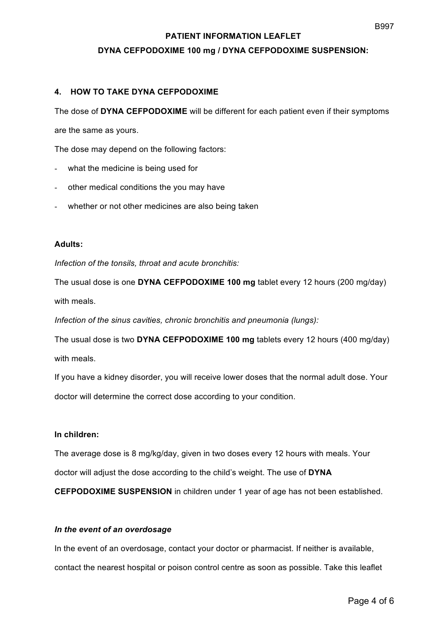# **PATIENT INFORMATION LEAFLET DYNA CEFPODOXIME 100 mg / DYNA CEFPODOXIME SUSPENSION:**

# **4. HOW TO TAKE DYNA CEFPODOXIME**

The dose of **DYNA CEFPODOXIME** will be different for each patient even if their symptoms

are the same as yours.

The dose may depend on the following factors:

- what the medicine is being used for
- other medical conditions the you may have
- whether or not other medicines are also being taken

# **Adults:**

*Infection of the tonsils, throat and acute bronchitis:* 

The usual dose is one **DYNA CEFPODOXIME 100 mg** tablet every 12 hours (200 mg/day) with meals.

*Infection of the sinus cavities, chronic bronchitis and pneumonia (lungs):*

The usual dose is two **DYNA CEFPODOXIME 100 mg** tablets every 12 hours (400 mg/day) with meals.

If you have a kidney disorder, you will receive lower doses that the normal adult dose. Your doctor will determine the correct dose according to your condition.

#### **In children:**

The average dose is 8 mg/kg/day, given in two doses every 12 hours with meals. Your doctor will adjust the dose according to the child's weight. The use of **DYNA** 

**CEFPODOXIME SUSPENSION** in children under 1 year of age has not been established.

#### *In the event of an overdosage*

In the event of an overdosage, contact your doctor or pharmacist. If neither is available, contact the nearest hospital or poison control centre as soon as possible. Take this leaflet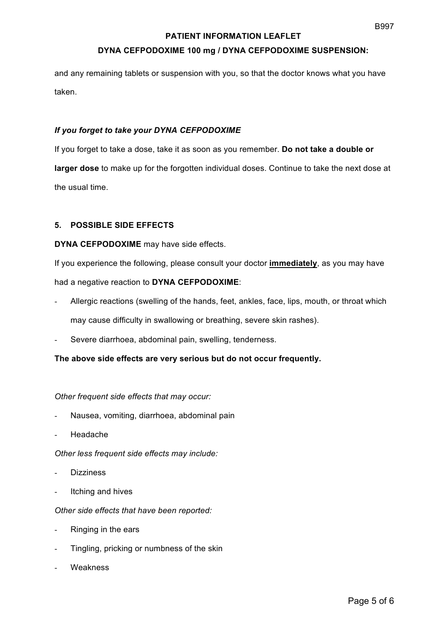# **DYNA CEFPODOXIME 100 mg / DYNA CEFPODOXIME SUSPENSION:**

and any remaining tablets or suspension with you, so that the doctor knows what you have taken.

#### *If you forget to take your DYNA CEFPODOXIME*

If you forget to take a dose, take it as soon as you remember. **Do not take a double or larger dose** to make up for the forgotten individual doses. Continue to take the next dose at the usual time.

# **5. POSSIBLE SIDE EFFECTS**

#### **DYNA CEFPODOXIME** may have side effects.

If you experience the following, please consult your doctor **immediately**, as you may have had a negative reaction to **DYNA CEFPODOXIME**:

- Allergic reactions (swelling of the hands, feet, ankles, face, lips, mouth, or throat which may cause difficulty in swallowing or breathing, severe skin rashes).
- Severe diarrhoea, abdominal pain, swelling, tenderness.

#### **The above side effects are very serious but do not occur frequently.**

#### *Other frequent side effects that may occur:*

- Nausea, vomiting, diarrhoea, abdominal pain
- Headache

*Other less frequent side effects may include:*

- **Dizziness**
- Itching and hives

#### *Other side effects that have been reported:*

- Ringing in the ears
- Tingling, pricking or numbness of the skin
- **Weakness**